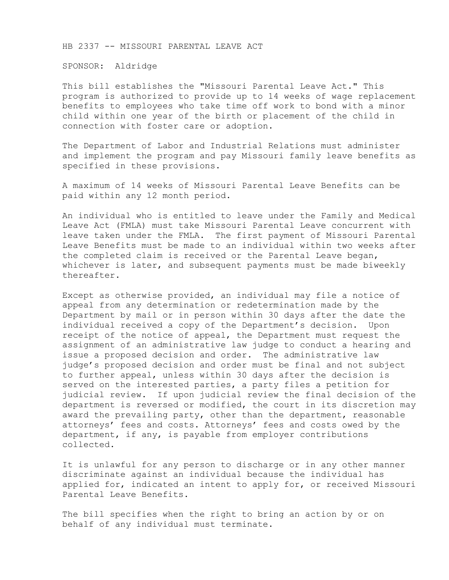HB 2337 -- MISSOURI PARENTAL LEAVE ACT

SPONSOR: Aldridge

This bill establishes the "Missouri Parental Leave Act." This program is authorized to provide up to 14 weeks of wage replacement benefits to employees who take time off work to bond with a minor child within one year of the birth or placement of the child in connection with foster care or adoption.

The Department of Labor and Industrial Relations must administer and implement the program and pay Missouri family leave benefits as specified in these provisions.

A maximum of 14 weeks of Missouri Parental Leave Benefits can be paid within any 12 month period.

An individual who is entitled to leave under the Family and Medical Leave Act (FMLA) must take Missouri Parental Leave concurrent with leave taken under the FMLA. The first payment of Missouri Parental Leave Benefits must be made to an individual within two weeks after the completed claim is received or the Parental Leave began, whichever is later, and subsequent payments must be made biweekly thereafter.

Except as otherwise provided, an individual may file a notice of appeal from any determination or redetermination made by the Department by mail or in person within 30 days after the date the individual received a copy of the Department's decision. Upon receipt of the notice of appeal, the Department must request the assignment of an administrative law judge to conduct a hearing and issue a proposed decision and order. The administrative law judge's proposed decision and order must be final and not subject to further appeal, unless within 30 days after the decision is served on the interested parties, a party files a petition for judicial review. If upon judicial review the final decision of the department is reversed or modified, the court in its discretion may award the prevailing party, other than the department, reasonable attorneys' fees and costs. Attorneys' fees and costs owed by the department, if any, is payable from employer contributions collected.

It is unlawful for any person to discharge or in any other manner discriminate against an individual because the individual has applied for, indicated an intent to apply for, or received Missouri Parental Leave Benefits.

The bill specifies when the right to bring an action by or on behalf of any individual must terminate.